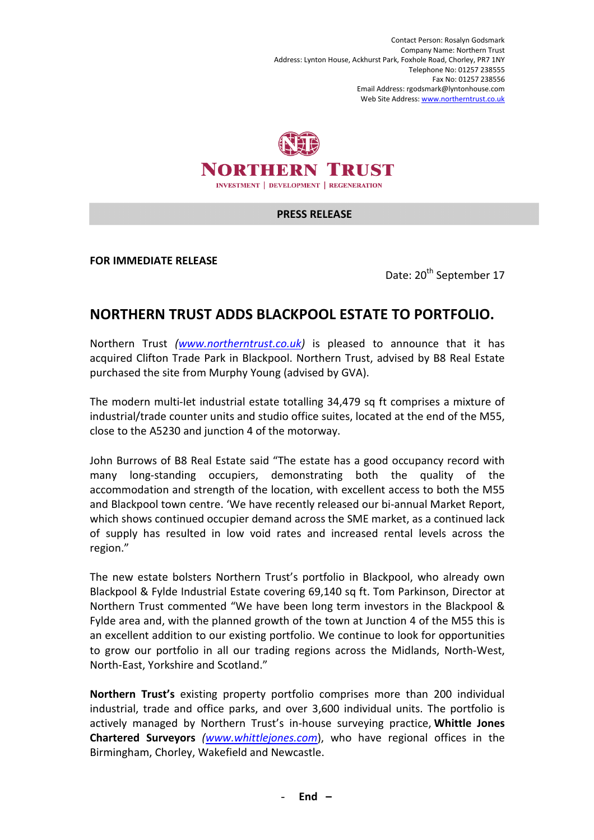Contact Person: Rosalyn Godsmark Company Name: Northern Trust Address: Lynton House, Ackhurst Park, Foxhole Road, Chorley, PR7 1NY Telephone No: 01257 238555 Fax No: 01257 238556 Email Address: rgodsmark@lyntonhouse.com Web Site Address: www.northerntrust.co.uk



## **PRESS RELEASE**

**FOR IMMEDIATE RELEASE** 

Date: 20<sup>th</sup> September 17

## **NORTHERN TRUST ADDS BLACKPOOL ESTATE TO PORTFOLIO.**

Northern Trust *(www.northerntrust.co.uk)* is pleased to announce that it has acquired Clifton Trade Park in Blackpool. Northern Trust, advised by B8 Real Estate purchased the site from Murphy Young (advised by GVA).

The modern multi-let industrial estate totalling 34,479 sq ft comprises a mixture of industrial/trade counter units and studio office suites, located at the end of the M55, close to the A5230 and junction 4 of the motorway.

John Burrows of B8 Real Estate said "The estate has a good occupancy record with many long-standing occupiers, demonstrating both the quality of the accommodation and strength of the location, with excellent access to both the M55 and Blackpool town centre. 'We have recently released our bi-annual Market Report, which shows continued occupier demand across the SME market, as a continued lack of supply has resulted in low void rates and increased rental levels across the region."

The new estate bolsters Northern Trust's portfolio in Blackpool, who already own Blackpool & Fylde Industrial Estate covering 69,140 sq ft. Tom Parkinson, Director at Northern Trust commented "We have been long term investors in the Blackpool & Fylde area and, with the planned growth of the town at Junction 4 of the M55 this is an excellent addition to our existing portfolio. We continue to look for opportunities to grow our portfolio in all our trading regions across the Midlands, North-West, North-East, Yorkshire and Scotland."

**Northern Trust's** existing property portfolio comprises more than 200 individual industrial, trade and office parks, and over 3,600 individual units. The portfolio is actively managed by Northern Trust's in-house surveying practice, **Whittle Jones Chartered Surveyors** *(www.whittlejones.com*), who have regional offices in the Birmingham, Chorley, Wakefield and Newcastle.